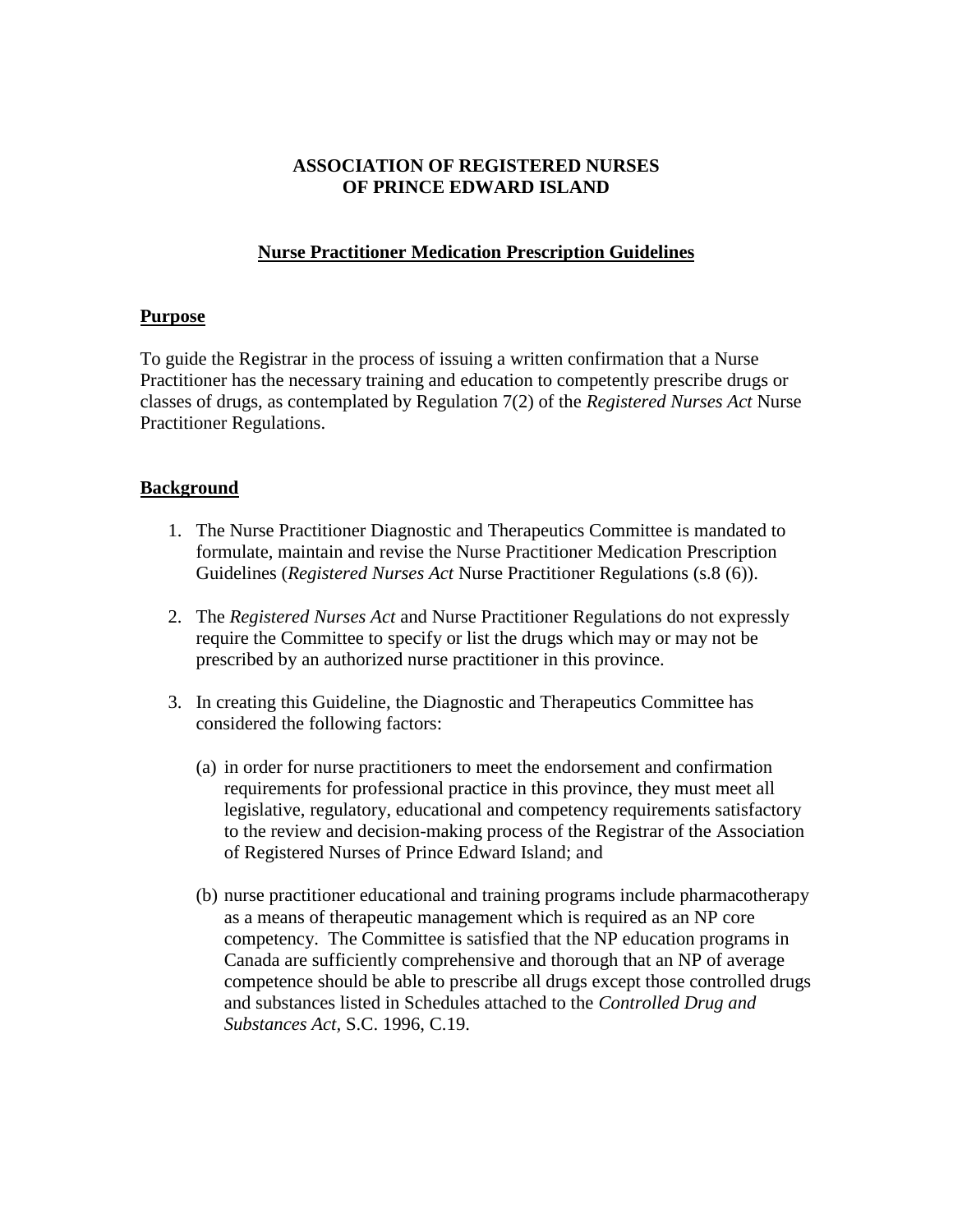# **ASSOCIATION OF REGISTERED NURSES OF PRINCE EDWARD ISLAND**

# **Nurse Practitioner Medication Prescription Guidelines**

## **Purpose**

To guide the Registrar in the process of issuing a written confirmation that a Nurse Practitioner has the necessary training and education to competently prescribe drugs or classes of drugs, as contemplated by Regulation 7(2) of the *Registered Nurses Act* Nurse Practitioner Regulations.

## **Background**

- 1. The Nurse Practitioner Diagnostic and Therapeutics Committee is mandated to formulate, maintain and revise the Nurse Practitioner Medication Prescription Guidelines (*Registered Nurses Act* Nurse Practitioner Regulations (s.8 (6)).
- 2. The *Registered Nurses Act* and Nurse Practitioner Regulations do not expressly require the Committee to specify or list the drugs which may or may not be prescribed by an authorized nurse practitioner in this province.
- 3. In creating this Guideline, the Diagnostic and Therapeutics Committee has considered the following factors:
	- (a) in order for nurse practitioners to meet the endorsement and confirmation requirements for professional practice in this province, they must meet all legislative, regulatory, educational and competency requirements satisfactory to the review and decision-making process of the Registrar of the Association of Registered Nurses of Prince Edward Island; and
	- (b) nurse practitioner educational and training programs include pharmacotherapy as a means of therapeutic management which is required as an NP core competency. The Committee is satisfied that the NP education programs in Canada are sufficiently comprehensive and thorough that an NP of average competence should be able to prescribe all drugs except those controlled drugs and substances listed in Schedules attached to the *Controlled Drug and Substances Act,* S.C. 1996, C.19.